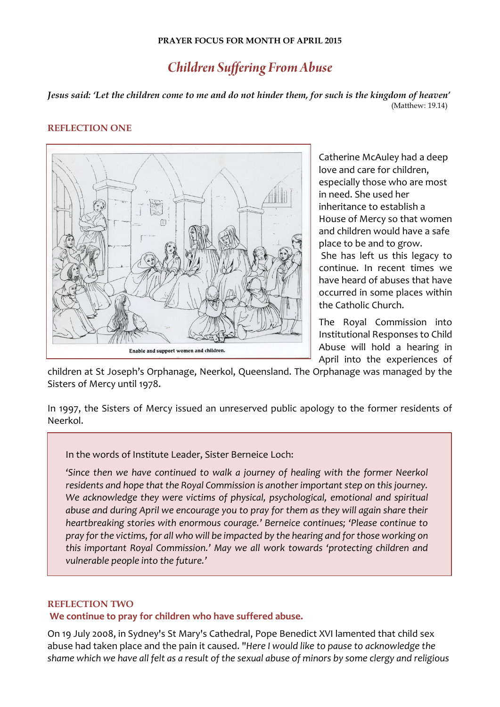## **PRAYER FOCUS FOR MONTH OF APRIL 2015**

## *Children Suffering From Abuse*

*Jesus said: 'Let the children come to me and do not hinder them, for such is the kingdom of heaven'* (Matthew: 19.14)

## **REFLECTION ONE**



Catherine McAuley had a deep love and care for children, especially those who are most in need. She used her inheritance to establish a House of Mercy so that women and children would have a safe place to be and to grow.

She has left us this legacy to continue. In recent times we have heard of abuses that have occurred in some places within the Catholic Church.

The Royal Commission into Institutional Responses to Child Abuse will hold a hearing in April into the experiences of

children at St Joseph's Orphanage, Neerkol, Queensland. The Orphanage was managed by the Sisters of Mercy until 1978.

In 1997, the Sisters of Mercy issued an unreserved public apology to the former residents of Neerkol.

In the words of Institute Leader, Sister Berneice Loch:

*'Since then we have continued to walk a journey of healing with the former Neerkol residents and hope that the Royal Commission is another important step on this journey.*  We acknowledge they were victims of physical, psychological, emotional and spiritual *abuse and during April we encourage you to pray for them as they will again share their heartbreaking stories with enormous courage.' Berneice continues; 'Please continue to pray for the victims, for all who will be impacted by the hearing and for those working on this important Royal Commission.' May we all work towards 'protecting children and vulnerable people into the future.'*

## **REFLECTION TWO**

I

**We continue to pray for children who have suffered abuse.**

On 19 July 2008, in Sydney's St Mary's Cathedral, Pope Benedict XVI lamented that child sex abuse had taken place and the pain it caused. "*Here I would like to pause to acknowledge the shame which we have all felt as a result of the sexual abuse of minors by some clergy and religious*